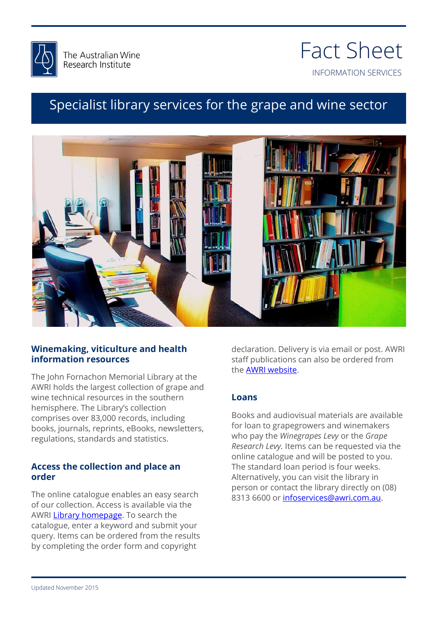

## INFORMATION SERVICES Fact Sheet

### Specialist library services for the grape and wine sector



#### **Winemaking, viticulture and health information resources**

The John Fornachon Memorial Library at the AWRI holds the largest collection of grape and wine technical resources in the southern hemisphere. The Library's collection comprises over 83,000 records, including books, journals, reprints, eBooks, newsletters, regulations, standards and statistics.

#### **Access the collection and place an order**

The online catalogue enables an easy search of our collection. Access is available via the AWRI [Library homepage.](http://www.awri.com.au/information_services/library-services-to-levy-payers/jfml/) To search the catalogue, enter a keyword and submit your query. Items can be ordered from the results by completing the order form and copyright

declaration. Delivery is via email or post. AWRI staff publications can also be ordered from the **AWRI** website.

#### **Loans**

Books and audiovisual materials are available for loan to grapegrowers and winemakers who pay the *Winegrapes Levy* or the *Grape Research Levy.* Items can be requested via the online catalogue and will be posted to you. The standard loan period is four weeks. Alternatively, you can visit the library in person or contact the library directly on (08) 8313 6600 or [infoservices@awri.com.au.](mailto:infoservices@awri.com.au)